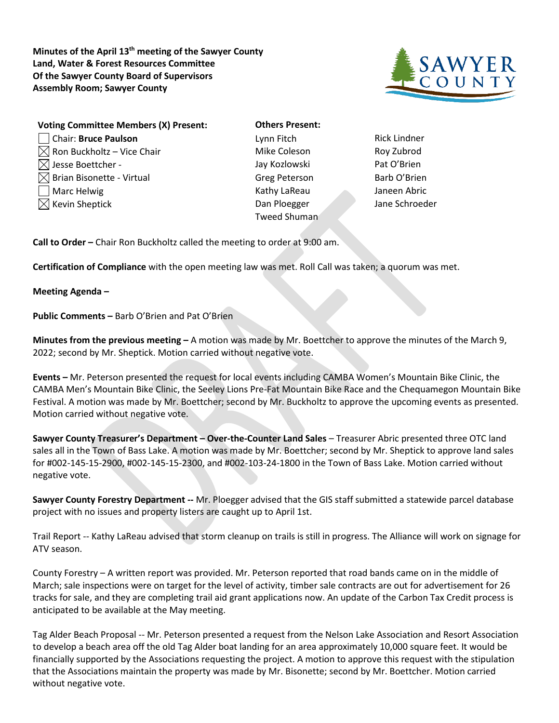**Minutes of the April 13th meeting of the Sawyer County Land, Water & Forest Resources Committee Of the Sawyer County Board of Supervisors Assembly Room; Sawyer County**



| <b>Voting Committee Members (X) Present:</b> | <b>Others Present:</b> |                     |
|----------------------------------------------|------------------------|---------------------|
| Chair: Bruce Paulson                         | Lynn Fitch             | <b>Rick Lindner</b> |
| $\boxtimes$ Ron Buckholtz – Vice Chair       | Mike Coleson           | Roy Zubrod          |
| $\boxtimes$ Jesse Boettcher -                | Jay Kozlowski          | Pat O'Brien         |
| $\boxtimes$ Brian Bisonette - Virtual        | <b>Greg Peterson</b>   | Barb O'Brier        |
| Marc Helwig                                  | Kathy LaReau           | Janeen Abrio        |
| $\boxtimes$ Kevin Sheptick                   | Dan Ploegger           | Jane Schroe         |
|                                              | Tweed Shuman           |                     |

**Others Present:** Mike Coleson **Roy Zubrod** Jay Kozlowski Pat O'Brien Greg Peterson Barb O'Brien Kathy LaReau Janeen Abric Dan Ploegger Jane Schroeder Tweed Shuman

**Call to Order –** Chair Ron Buckholtz called the meeting to order at 9:00 am.

**Certification of Compliance** with the open meeting law was met. Roll Call was taken; a quorum was met.

**Meeting Agenda –**

**Public Comments –** Barb O'Brien and Pat O'Brien

**Minutes from the previous meeting –** A motion was made by Mr. Boettcher to approve the minutes of the March 9, 2022; second by Mr. Sheptick. Motion carried without negative vote.

**Events –** Mr. Peterson presented the request for local events including CAMBA Women's Mountain Bike Clinic, the CAMBA Men's Mountain Bike Clinic, the Seeley Lions Pre-Fat Mountain Bike Race and the Chequamegon Mountain Bike Festival. A motion was made by Mr. Boettcher; second by Mr. Buckholtz to approve the upcoming events as presented. Motion carried without negative vote.

**Sawyer County Treasurer's Department – Over-the-Counter Land Sales** – Treasurer Abric presented three OTC land sales all in the Town of Bass Lake. A motion was made by Mr. Boettcher; second by Mr. Sheptick to approve land sales for #002-145-15-2900, #002-145-15-2300, and #002-103-24-1800 in the Town of Bass Lake. Motion carried without negative vote.

**Sawyer County Forestry Department --** Mr. Ploegger advised that the GIS staff submitted a statewide parcel database project with no issues and property listers are caught up to April 1st.

Trail Report -- Kathy LaReau advised that storm cleanup on trails is still in progress. The Alliance will work on signage for ATV season.

County Forestry – A written report was provided. Mr. Peterson reported that road bands came on in the middle of March; sale inspections were on target for the level of activity, timber sale contracts are out for advertisement for 26 tracks for sale, and they are completing trail aid grant applications now. An update of the Carbon Tax Credit process is anticipated to be available at the May meeting.

Tag Alder Beach Proposal -- Mr. Peterson presented a request from the Nelson Lake Association and Resort Association to develop a beach area off the old Tag Alder boat landing for an area approximately 10,000 square feet. It would be financially supported by the Associations requesting the project. A motion to approve this request with the stipulation that the Associations maintain the property was made by Mr. Bisonette; second by Mr. Boettcher. Motion carried without negative vote.